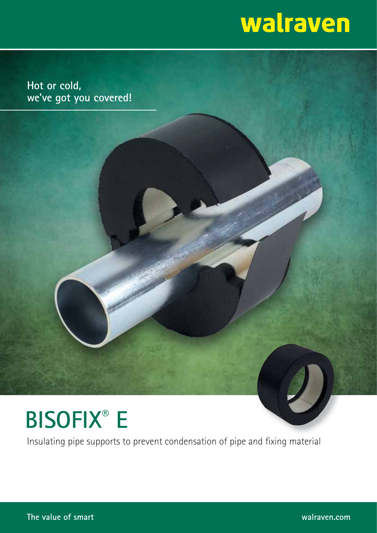# **Walraven**

**Hot or cold, we've got you covered!**

**Title**

# **BISOFIX® E**

Insulating pipe supports to prevent condensation of pipe and fixing material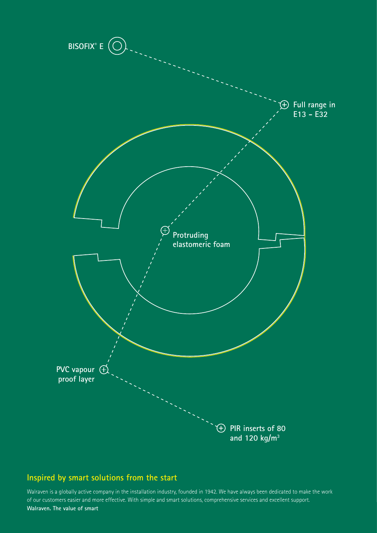

### **Inspired by smart solutions from the start**

Walraven is a globally active company in the installation industry, founded in 1942. We have always been dedicated to make the work of our customers easier and more effective. With simple and smart solutions, comprehensive services and excellent support. **Walraven. The value of smart**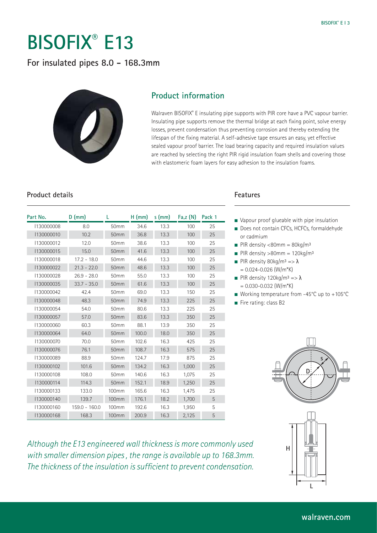**For insulated pipes 8.0 - 168.3mm**



#### **Product information**

Walraven BISOFIX® E insulating pipe supports with PIR core have a PVC vapour barrier. Insulating pipe supports remove the thermal bridge at each fixing point, solve energy losses, prevent condensation thus preventing corrosion and thereby extending the lifespan of the fixing material. A self-adhesive tape ensures an easy, yet effective sealed vapour proof barrier. The load bearing capacity and required insulation values are reached by selecting the right PIR rigid insulation foam shells and covering those with elastomeric foam layers for easy adhesion to the insulation foams.

#### **Product details**

| Part No.   | $D$ (mm)        | L            | $H$ (mm) | $s$ (mm) | Fa,Z(N) | Pack 1 |
|------------|-----------------|--------------|----------|----------|---------|--------|
| 1130000008 | 8.0             | 50mm         | 34.6     | 13.3     | 100     | 25     |
| 1130000010 | 10.2            | 50mm         | 36.8     | 13.3     | 100     | 25     |
| 1130000012 | 12.0            | 50mm         | 38.6     | 13.3     | 100     | 25     |
| 1130000015 | 15.0            | 50mm         | 41.6     | 13.3     | 100     | 25     |
| 1130000018 | $17.2 - 18.0$   | 50mm         | 44.6     | 13.3     | 100     | 25     |
| 1130000022 | $21.3 - 22.0$   | 50mm         | 48.6     | 13.3     | 100     | 25     |
| 1130000028 | $26.9 - 28.0$   | 50mm         | 55.0     | 13.3     | 100     | 25     |
| 1130000035 | $33.7 - 35.0$   | 50mm         | 61.6     | 13.3     | 100     | 25     |
| 1130000042 | 42.4            | 50mm         | 69.0     | 13.3     | 150     | 25     |
| 1130000048 | 48.3            | 50mm         | 74.9     | 13.3     | 225     | 25     |
| 1130000054 | 54.0            | 50mm         | 80.6     | 13.3     | 225     | 25     |
| 1130000057 | 57.0            | 50mm         | 83.6     | 13.3     | 350     | 25     |
| 1130000060 | 60.3            | 50mm         | 88.1     | 13.9     | 350     | 25     |
| 1130000064 | 64.0            | 50mm         | 100.0    | 18.0     | 350     | 25     |
| 1130000070 | 70.0            | 50mm         | 102.6    | 16.3     | 425     | 25     |
| 1130000076 | 76.1            | 50mm         | 108.7    | 16.3     | 575     | 25     |
| 1130000089 | 88.9            | 50mm         | 124.7    | 17.9     | 875     | 25     |
| 1130000102 | 101.6           | 50mm         | 134.2    | 16.3     | 1,000   | 25     |
| 1130000108 | 108.0           | 50mm         | 140.6    | 16.3     | 1,075   | 25     |
| 1130000114 | 114.3           | 50mm         | 152.1    | 18.9     | 1,250   | 25     |
| 1130000133 | 133.0           | 100mm        | 165.6    | 16.3     | 1,475   | 25     |
| 1130000140 | 139.7           | <b>100mm</b> | 176.1    | 18.2     | 1,700   | 5      |
| 1130000160 | $159.0 - 160.0$ | 100mm        | 192.6    | 16.3     | 1,950   | 5      |
| 1130000168 | 168.3           | <b>100mm</b> | 200.9    | 16.3     | 2,125   | 5      |

#### **Features**

- Vapour proof glueable with pipe insulation
- Does not contain CFCs, HCFCs, formaldehyde or cadmium
- $\blacksquare$  PIR density <80mm = 80kg/m<sup>3</sup>
- $\blacksquare$  PIR density >80mm = 120kg/m<sup>3</sup>
- **PIR density 80kg/m<sup>3</sup> = >**  $\lambda$  $= 0.024 - 0.026$  (W/m\*K)
- **PIR density 120kg/m<sup>3</sup> = >**  $\lambda$  $= 0.030 - 0.032$  (W/m<sup>\*</sup>K)
- Working temperature from -45°C up to +105°C
- Fire rating: class B2





Although the E13 engineered wall thickness is more commonly used with smaller dimension pipes , the range is available up to 168.3mm. The thickness of the insulation is sufficient to prevent condensation.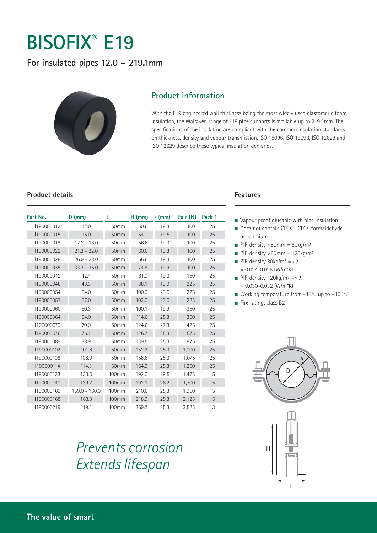### **For insulated pipes 12.0 – 219.1mm**



#### **Product information**

With the E19 engineered wall thickness being the most widely used elastomeric foam insulation, the Walraven range of E19 pipe supports is available up to 219.1mm. The specifications of the insulation are compliant with the common insulation standards on thickness, density and vapour transmission. ISO 18096, ISO 18098, ISO 12628 and ISO 12629 describe these typical insulation demands.

#### **Product details**

| Part No.   | $D$ (mm)      |       | $H$ (mm) | $s$ (mm) | Fa, z(N) | Pack 1 |
|------------|---------------|-------|----------|----------|----------|--------|
| 1190000012 | 12.0          | 50mm  | 50.6     | 19.3     | 100      | 25     |
| 1190000015 | 15.0          | 50mm  | 54.0     | 19.5     | 100      | 25     |
| 1190000018 | $17.2 - 18.0$ | 50mm  | 56.6     | 19.3     | 100      | 25     |
| 1190000022 | $21.3 - 22.0$ | 50mm  | 60.6     | 19.3     | 100      | 25     |
| 1190000028 | $26.9 - 28.0$ | 50mm  | 66.6     | 19.3     | 100      | 25     |
| 1190000035 | $33.7 - 35.0$ | 50mm  | 74.8     | 19.9     | 100      | 25     |
| 1190000042 | 42.4          | 50mm  | 81.0     | 19.3     | 150      | 25     |
| 1190000048 | 48.3          | 50mm  | 88.1     | 19.9     | 225      | 25     |
| 1190000054 | 54.0          | 50mm  | 100.0    | 23.0     | 225      | 25     |
| 1190000057 | 57.0          | 50mm  | 103.0    | 23.0     | 225      | 25     |
| 1190000060 | 60.3          | 50mm  | 100.1    | 19.9     | 350      | 25     |
| 1190000064 | 64.0          | 50mm  | 114.6    | 25.3     | 350      | 25     |
| 1190000070 | 70.0          | 50mm  | 124.6    | 27.3     | 425      | 25     |
| 1190000076 | 76.1          | 50mm  | 126.7    | 25.3     | 575      | 25     |
| 1190000089 | 88.9          | 50mm  | 139.5    | 25.3     | 875      | 25     |
| 1190000102 | 101.6         | 50mm  | 152.2    | 25.3     | 1,000    | 25     |
| 1190000108 | 108.0         | 50mm  | 158.6    | 25.3     | 1,075    | 25     |
| 1190000114 | 114.3         | 50mm  | 164.9    | 25.3     | 1,250    | 25     |
| 1190000133 | 133.0         | 100mm | 192.0    | 29.5     | 1,475    | 5      |
| 1190000140 | 139.7         | 100mm | 192.1    | 26.2     | 1,700    | 5      |
| 1190000160 | 159.0 - 160.0 | 100mm | 210.6    | 25.3     | 1,950    | 5      |
| 1190000168 | 168.3         | 100mm | 218.9    | 25.3     | 2,125    | 5      |
| 1190000219 | 219.1         | 100mm | 269.7    | 25.3     | 3,525    | 3      |

Prevents corrosion

Extends lifespan

#### **Features**

- Vapour proof glueable with pipe insulation
- Does not contain CFCs, HCFCs, formaldehyde or cadmium
- $\blacksquare$  PIR density <80mm = 80kg/m<sup>3</sup>
- $\blacksquare$  PIR density >80mm = 120kg/m<sup>3</sup>
- **PIR density 80kg/m<sup>3</sup> = >**  $\lambda$  $= 0.024 - 0.026$  (W/m\*K)
- **PIR density 120kg/m<sup>3</sup> = >**  $\lambda$  $= 0.030 - 0.032$  (W/m\*K)
- Working temperature from -45°C up to +105°C
- Fire rating: class B2



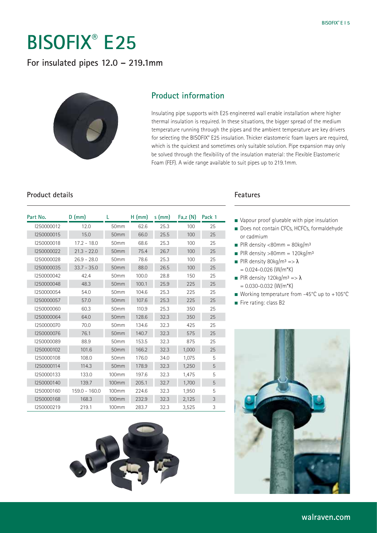### **For insulated pipes 12.0 – 219.1mm**



#### **Product information**

Insulating pipe supports with E25 engineered wall enable installation where higher thermal insulation is required. In these situations, the bigger spread of the medium temperature running through the pipes and the ambient temperature are key drivers for selecting the BISOFIX® E25 insulation. Thicker elastomeric foam layers are required, which is the quickest and sometimes only suitable solution. Pipe expansion may only be solved through the flexibility of the insulation material: the Flexible Elastomeric Foam (FEF). A wide range available to suit pipes up to 219.1mm.

#### **Product details**

| Part No.   | $D$ (mm)        | L     | $H$ (mm) | $s$ (mm) | Fa, z(N) | Pack 1 |
|------------|-----------------|-------|----------|----------|----------|--------|
| 1250000012 | 12.0            | 50mm  | 62.6     | 25.3     | 100      | 25     |
| 1250000015 | 15.0            | 50mm  | 66.0     | 25.5     | 100      | 25     |
| 1250000018 | $17.2 - 18.0$   | 50mm  | 68.6     | 25.3     | 100      | 25     |
| 1250000022 | $21.3 - 22.0$   | 50mm  | 75.4     | 26.7     | 100      | 25     |
| 1250000028 | $26.9 - 28.0$   | 50mm  | 78.6     | 25.3     | 100      | 25     |
| 1250000035 | $33.7 - 35.0$   | 50mm  | 88.0     | 26.5     | 100      | 25     |
| 1250000042 | 42.4            | 50mm  | 100.0    | 28.8     | 150      | 25     |
| 1250000048 | 48.3            | 50mm  | 100.1    | 25.9     | 225      | 25     |
| 1250000054 | 54.0            | 50mm  | 104.6    | 25.3     | 225      | 25     |
| 1250000057 | 57.0            | 50mm  | 107.6    | 25.3     | 225      | 25     |
| 1250000060 | 60.3            | 50mm  | 110.9    | 25.3     | 350      | 25     |
| 1250000064 | 64.0            | 50mm  | 128.6    | 32.3     | 350      | 25     |
| 1250000070 | 70.0            | 50mm  | 134.6    | 32.3     | 425      | 25     |
| 1250000076 | 76.1            | 50mm  | 140.7    | 32.3     | 575      | 25     |
| 1250000089 | 88.9            | 50mm  | 153.5    | 32.3     | 875      | 25     |
| 1250000102 | 101.6           | 50mm  | 166.2    | 32.3     | 1,000    | 25     |
| 1250000108 | 108.0           | 50mm  | 176.0    | 34.0     | 1,075    | 5      |
| 1250000114 | 114.3           | 50mm  | 178.9    | 32.3     | 1,250    | 5      |
| 1250000133 | 133.0           | 100mm | 197.6    | 32.3     | 1,475    | 5      |
| 1250000140 | 139.7           | 100mm | 205.1    | 32.7     | 1,700    | 5      |
| 1250000160 | $159.0 - 160.0$ | 100mm | 224.6    | 32.3     | 1,950    | 5      |
| 1250000168 | 168.3           | 100mm | 232.9    | 32.3     | 2,125    | 3      |
| 1250000219 | 219.1           | 100mm | 283.7    | 32.3     | 3,525    | 3      |



#### **Features**

- Vapour proof glueable with pipe insulation
- Does not contain CFCs, HCFCs, formaldehyde or cadmium
- $\blacksquare$  PIR density <80mm = 80kg/m<sup>3</sup>
- $\blacksquare$  PIR density >80mm = 120kg/m<sup>3</sup>
- **PIR density 80kg/m<sup>3</sup> = >**  $\lambda$  $= 0.024 - 0.026$  (W/m\*K)
- **PIR density 120kg/m<sup>3</sup> = >**  $\lambda$  $= 0.030 - 0.032$  (W/m<sup>\*</sup>K)
- Working temperature from -45°C up to +105°C
- Fire rating: class B2

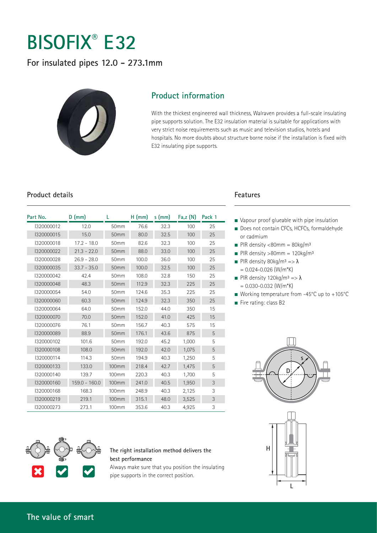**For insulated pipes 12.0 - 273.1mm**



### **Product information**

With the thickest engineered wall thickness, Walraven provides a full-scale insulating pipe supports solution. The E32 insulation material is suitable for applications with very strict noise requirements such as music and television studios, hotels and hospitals. No more doubts about structure borne noise if the installation is fixed with E32 insulating pipe supports.

#### **Product details**

| Part No.   | $D$ (mm)        |       | $H$ (mm) | $s$ (mm) | Fa, z(N) | Pack 1 |
|------------|-----------------|-------|----------|----------|----------|--------|
| 1320000012 | 12.0            | 50mm  | 76.6     | 32.3     | 100      | 25     |
| 1320000015 | 15.0            | 50mm  | 80.0     | 32.5     | 100      | 25     |
| 1320000018 | $17.2 - 18.0$   | 50mm  | 82.6     | 32.3     | 100      | 25     |
| 1320000022 | $21.3 - 22.0$   | 50mm  | 88.0     | 33.0     | 100      | 25     |
| 1320000028 | $26.9 - 28.0$   | 50mm  | 100.0    | 36.0     | 100      | 25     |
| 1320000035 | $33.7 - 35.0$   | 50mm  | 100.0    | 32.5     | 100      | 25     |
| 1320000042 | 42.4            | 50mm  | 108.0    | 32.8     | 150      | 25     |
| 1320000048 | 48.3            | 50mm  | 112.9    | 32.3     | 225      | 25     |
| 1320000054 | 54.0            | 50mm  | 124.6    | 35.3     | 225      | 25     |
| 1320000060 | 60.3            | 50mm  | 124.9    | 32.3     | 350      | 25     |
| 1320000064 | 64.0            | 50mm  | 152.0    | 44.0     | 350      | 15     |
| 1320000070 | 70.0            | 50mm  | 152.0    | 41.0     | 425      | 15     |
| 1320000076 | 76.1            | 50mm  | 156.7    | 40.3     | 575      | 15     |
| 1320000089 | 88.9            | 50mm  | 176.1    | 43.6     | 875      | 5      |
| 1320000102 | 101.6           | 50mm  | 192.0    | 45.2     | 1,000    | 5      |
| 1320000108 | 108.0           | 50mm  | 192.0    | 42.0     | 1,075    | 5      |
| 1320000114 | 114.3           | 50mm  | 194.9    | 40.3     | 1,250    | 5      |
| 1320000133 | 133.0           | 100mm | 218.4    | 42.7     | 1,475    | 5      |
| 1320000140 | 139.7           | 100mm | 220.3    | 40.3     | 1,700    | 5      |
| 1320000160 | $159.0 - 160.0$ | 100mm | 241.0    | 40.5     | 1,950    | 3      |
| 1320000168 | 168.3           | 100mm | 248.9    | 40.3     | 2,125    | 3      |
| 1320000219 | 219.1           | 100mm | 315.1    | 48.0     | 3,525    | 3      |
| 1320000273 | 273.1           | 100mm | 353.6    | 40.3     | 4,925    | 3      |

#### **Features**

- Vapour proof glueable with pipe insulation
- Does not contain CFCs, HCFCs, formaldehyde or cadmium
- $\blacksquare$  PIR density <80mm = 80kg/m<sup>3</sup>
- $\blacksquare$  PIR density >80mm = 120kg/m<sup>3</sup>
- **PIR density 80kg/m<sup>3</sup> = >**  $\lambda$  $= 0.024 - 0.026$  (W/m\*K)
- **PIR density 120kg/m<sup>3</sup> = >**  $\lambda$  $= 0.030 - 0.032$  (W/m<sup>\*</sup>K)
- Working temperature from -45°C up to +105°C
- Fire rating: class B2







#### **The right installation method delivers the best performance**

Always make sure that you position the insulating pipe supports in the correct position.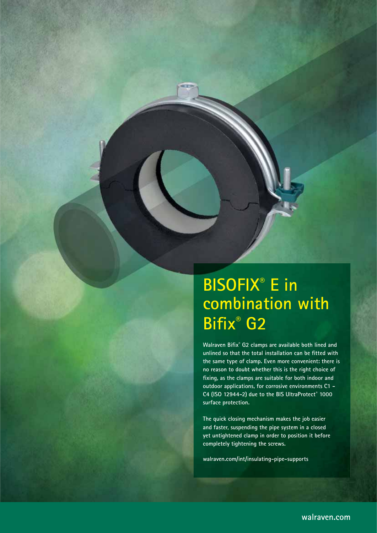## **BISOFIX® E in combination with Bifix®** G2

Walraven Bifix® G2 clamps are available both lined and unlined so that the total installation can be fitted with **the same type of clamp. Even more convenient: there is no reason to doubt whether this is the right choice of fi xing, as the clamps are suitable for both indoor and outdoor applications, for corrosive environments C1 - C4 (ISO 12944-2) due to the BIS UltraProtect® 1000 surface protection.**

**The quick closing mechanism makes the job easier and faster, suspending the pipe system in a closed yet untightened clamp in order to position it before completely tightening the screws.**

**walraven.com/int/insulating-pipe-supports**

**walraven.com**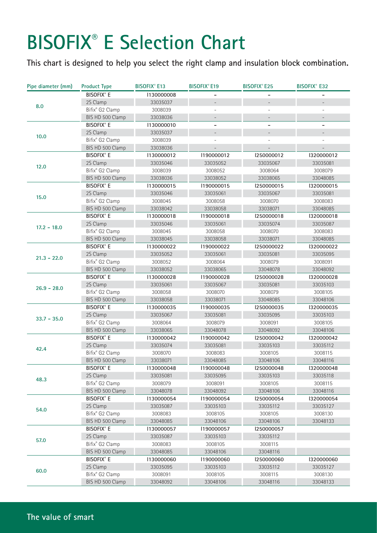# **BISOFIX® E Selection Chart**

**This chart is designed to help you select the right clamp and insulation block combination.**

| Pipe diameter (mm) | <b>Product Type</b> | <b>BISOFIX® E13</b> | <b>BISOFIX®E19</b> | <b>BISOFIX®E25</b> | <b>BISOFIX® E32</b> |
|--------------------|---------------------|---------------------|--------------------|--------------------|---------------------|
| 8.0                | <b>BISOFIX®</b> E   | 1130000008          |                    |                    |                     |
|                    | 2S Clamp            | 33035037            |                    |                    |                     |
|                    | Bifix® G2 Clamp     | 3008039             |                    |                    |                     |
|                    | BIS HD 500 Clamp    | 33038036            |                    |                    |                     |
|                    | <b>BISOFIX®</b> E   | 1130000010          |                    |                    |                     |
|                    | 2S Clamp            | 33035037            |                    |                    |                     |
| 10.0               | Bifix® G2 Clamp     | 3008039             |                    |                    |                     |
|                    | BIS HD 500 Clamp    | 33038036            |                    |                    |                     |
| 12.0               | <b>BISOFIX®</b> E   | 1130000012          | 1190000012         | 1250000012         | 1320000012          |
|                    | 2S Clamp            | 33035046            | 33035052           | 33035067           | 33035081            |
|                    | Bifix® G2 Clamp     | 3008039             | 3008052            | 3008064            | 3008079             |
|                    | BIS HD 500 Clamp    | 33038036            | 33038052           | 33038065           | 33048085            |
|                    | <b>BISOFIX®</b> E   | 1130000015          | 1190000015         | I250000015         | 1320000015          |
| 15.0               | 2S Clamp            | 33035046            | 33035061           | 33035067           | 33035081            |
|                    | Bifix® G2 Clamp     | 3008045             | 3008058            | 3008070            | 3008083             |
|                    | BIS HD 500 Clamp    | 33038042            | 33038058           | 33038071           | 33048085            |
|                    | <b>BISOFIX®</b> E   | 1130000018          | 1190000018         | 1250000018         | 1320000018          |
| $17.2 - 18.0$      | 2S Clamp            | 33035046            | 33035061           | 33035074           | 33035087            |
|                    | Bifix® G2 Clamp     | 3008045             | 3008058            | 3008070            | 3008083             |
|                    | BIS HD 500 Clamp    | 33038045            | 33038058           | 33038071           | 33048085            |
| $21.3 - 22.0$      | <b>BISOFIX®</b> E   | 1130000022          | 1190000022         | 1250000022         | 1320000022          |
|                    | 2S Clamp            | 33035052            | 33035061           | 33035081           | 33035095            |
|                    | Bifix® G2 Clamp     | 3008052             | 3008064            | 3008079            | 3008091             |
|                    | BIS HD 500 Clamp    | 33038052            | 33038065           | 33048078           | 33048092            |
|                    | <b>BISOFIX®</b> E   | 1130000028          | 1190000028         | 1250000028         | 1320000028          |
| $26.9 - 28.0$      | 2S Clamp            | 33035061            | 33035067           | 33035081           | 33035103            |
|                    | Bifix® G2 Clamp     | 3008058             | 3008070            | 3008079            | 3008105             |
|                    | BIS HD 500 Clamp    | 33038058            | 33038071           | 33048085           | 33048106            |
|                    | <b>BISOFIX®</b> E   | 1130000035          | 1190000035         | 1250000035         | I320000035          |
| $33.7 - 35.0$      | 2S Clamp            | 33035067            | 33035081           | 33035095           | 33035103            |
|                    | Bifix® G2 Clamp     | 3008064             | 3008079            | 3008091            | 3008105             |
|                    | BIS HD 500 Clamp    | 33038065            | 33048078           | 33048092           | 33048106            |
|                    | <b>BISOFIX®</b> E   | 1130000042          | 1190000042         | 1250000042         | 1320000042          |
| 42.4               | 2S Clamp            | 33035074            | 33035081           | 33035103           | 33035112            |
|                    | Bifix® G2 Clamp     | 3008070             | 3008083            | 3008105            | 3008115             |
|                    | BIS HD 500 Clamp    | 33038071            | 33048085           | 33048106           | 33048116            |
|                    | <b>BISOFIX®</b> E   | 1130000048          | 1190000048         | 1250000048         | 1320000048          |
| 48.3               | 2S Clamp            | 33035081            | 33035095           | 33035103           | 33035118            |
|                    | Bifix® G2 Clamp     | 3008079             | 3008091            | 3008105            | 3008115             |
|                    | BIS HD 500 Clamp    | 33048078            | 33048092           | 33048106           | 33048116            |
| 54.0               | <b>BISOFIX®</b> E   | 1130000054          | 1190000054         | 1250000054         | 1320000054          |
|                    | 2S Clamp            | 33035087            | 33035103           | 33035112           | 33035127            |
|                    | Bifix® G2 Clamp     | 3008083             | 3008105            | 3008105            | 3008130             |
|                    | BIS HD 500 Clamp    | 33048085            | 33048106           | 33048106           | 33048133            |
| 57.0               | <b>BISOFIX®</b> E   | 1130000057          | 1190000057         | 1250000057         |                     |
|                    | 2S Clamp            | 33035087            | 33035103           | 33035112           |                     |
|                    | Bifix® G2 Clamp     | 3008083             | 3008105            | 3008115            |                     |
|                    | BIS HD 500 Clamp    | 33048085            | 33048106           | 33048116           |                     |
| 60.0               | <b>BISOFIX®</b> E   | 1130000060          | 1190000060         | 1250000060         | 1320000060          |
|                    | 2S Clamp            | 33035095            | 33035103           | 33035112           | 33035127            |
|                    | Bifix® G2 Clamp     | 3008091             | 3008105            | 3008115            | 3008130             |
|                    | BIS HD 500 Clamp    | 33048092            | 33048106           | 33048116           | 33048133            |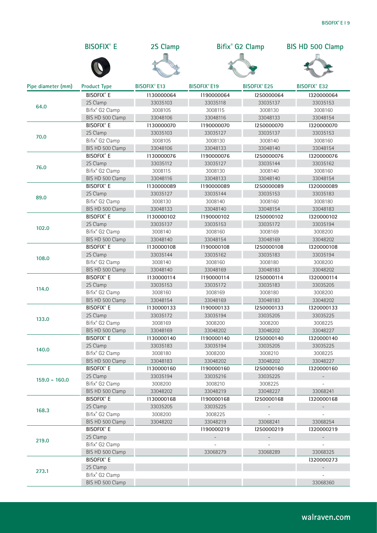|                    | <b>BISOFIX® E</b>                     | 2S Clamp            |                          | Bifix <sup>®</sup> G2 Clamp | <b>BIS HD 500 Clamp</b>  |  |
|--------------------|---------------------------------------|---------------------|--------------------------|-----------------------------|--------------------------|--|
|                    |                                       |                     |                          |                             |                          |  |
| Pipe diameter (mm) | <b>Product Type</b>                   | <b>BISOFIX® E13</b> | <b>BISOFIX®E19</b>       | <b>BISOFIX® E25</b>         | <b>BISOFIX® E32</b>      |  |
|                    | <b>BISOFIX®</b> E                     | 1130000064          | 1190000064               | 1250000064                  | 1320000064               |  |
|                    | 2S Clamp                              | 33035103            | 33035118                 | 33035137                    | 33035153                 |  |
| 64.0               | Bifix® G2 Clamp                       | 3008105             | 3008115                  | 3008130                     | 3008160                  |  |
|                    | BIS HD 500 Clamp                      | 33048106            | 33048116                 | 33048133                    | 33048154                 |  |
|                    | <b>BISOFIX®</b> E                     | 1130000070          | 1190000070               | 1250000070                  | 1320000070               |  |
|                    | 2S Clamp                              | 33035103            | 33035127                 | 33035137                    | 33035153                 |  |
| 70.0               | Bifix® G2 Clamp                       | 3008105             | 3008130                  | 3008140                     | 3008160                  |  |
|                    | BIS HD 500 Clamp                      | 33048106            | 33048133                 | 33048140                    | 33048154                 |  |
|                    | <b>BISOFIX®</b> E                     | 1130000076          | 1190000076               | 1250000076                  | 1320000076               |  |
|                    | 2S Clamp                              | 33035112            | 33035127                 | 33035144                    | 33035162                 |  |
| 76.0               | Bifix® G2 Clamp                       | 3008115             | 3008130                  | 3008140                     | 3008160                  |  |
|                    | BIS HD 500 Clamp                      | 33048116            | 33048133                 | 33048140                    | 33048154                 |  |
|                    | <b>BISOFIX®</b> E                     | 1130000089          | 1190000089               | 1250000089                  | 1320000089               |  |
|                    | 2S Clamp                              | 33035127            | 33035144                 | 33035153                    | 33035183                 |  |
| 89.0               | Bifix® G2 Clamp                       | 3008130             | 3008140                  | 3008160                     | 3008180                  |  |
|                    | BIS HD 500 Clamp                      | 33048133            | 33048140                 | 33048154                    | 33048183                 |  |
|                    | <b>BISOFIX®</b> E                     | 1130000102          | 1190000102               | 1250000102                  | 1320000102               |  |
|                    | 2S Clamp                              | 33035137            | 33035153                 | 33035172                    | 33035194                 |  |
| 102.0              | Bifix® G2 Clamp                       | 3008140             | 3008160                  | 3008169                     | 3008200                  |  |
|                    | BIS HD 500 Clamp                      | 33048140            | 33048154                 | 33048169                    | 33048202                 |  |
|                    | <b>BISOFIX®</b> E                     | 1130000108          | 1190000108               | 1250000108                  | 1320000108               |  |
|                    | 2S Clamp                              | 33035144            | 33035162                 | 33035183                    | 33035194                 |  |
| 108.0              | Bifix® G2 Clamp                       | 3008140             | 3008160                  | 3008180                     | 3008200                  |  |
|                    | BIS HD 500 Clamp                      | 33048140            | 33048169                 | 33048183                    | 33048202                 |  |
|                    | <b>BISOFIX®</b> E                     | 1130000114          | 1190000114               | 1250000114                  | 1320000114               |  |
|                    | 2S Clamp                              | 33035153            | 33035172                 | 33035183                    | 33035205                 |  |
| 114.0              | Bifix® G2 Clamp                       | 3008160             | 3008169                  | 3008180                     | 3008200                  |  |
|                    | BIS HD 500 Clamp                      | 33048154            | 33048169                 | 33048183                    | 33048202                 |  |
|                    | <b>BISOFIX®</b> E                     | 1130000133          | 1190000133               | 1250000133                  | 1320000133               |  |
|                    | 2S Clamp                              | 33035172            | 33035194                 | 33035205                    | 33035225                 |  |
| 133.0              | Bifix® G2 Clamp                       | 3008169             | 3008200                  | 3008200                     | 3008225                  |  |
|                    | BIS HD 500 Clamp                      | 33048169            | 33048202                 | 33048202                    | 33048227                 |  |
|                    | <b>BISOFIX®</b> E                     | 1130000140          | 1190000140               | 1250000140                  | 1320000140               |  |
|                    | 2S Clamp                              | 33035183            | 33035194                 | 33035205                    | 33035225                 |  |
| 140.0              | Bifix® G2 Clamp                       | 3008180             | 3008200                  | 3008210                     | 3008225                  |  |
|                    | BIS HD 500 Clamp                      | 33048183            | 33048202                 | 33048202                    | 33048227                 |  |
|                    | <b>BISOFIX®</b> E                     | 1130000160          | 1190000160               | 1250000160                  | 1320000160               |  |
|                    | 2S Clamp                              | 33035194            | 33035216                 | 33035225                    | $\overline{\phantom{a}}$ |  |
| $159.0 - 160.0$    | Bifix® G2 Clamp                       | 3008200             | 3008210                  | 3008225                     |                          |  |
|                    | BIS HD 500 Clamp                      | 33048202            | 33048219                 | 33048227                    | 33068241                 |  |
|                    | <b>BISOFIX®</b> E                     | 1130000168          | 1190000168               | 1250000168                  | 1320000168               |  |
|                    | 2S Clamp                              | 33035205            | 33035225                 | $\overline{\phantom{a}}$    | $\overline{\phantom{a}}$ |  |
| 168.3              | Bifix® G2 Clamp                       | 3008200             | 3008225                  |                             |                          |  |
|                    |                                       |                     |                          |                             |                          |  |
| 219.0              | BIS HD 500 Clamp<br><b>BISOFIX®</b> E | 33048202            | 33048219<br>1190000219   | 33068241<br>1250000219      | 33068254<br>1320000219   |  |
|                    |                                       |                     |                          |                             |                          |  |
|                    | 2S Clamp                              |                     | $\overline{\phantom{a}}$ | $\overline{\phantom{a}}$    | $\overline{\phantom{a}}$ |  |
|                    | Bifix® G2 Clamp                       |                     |                          |                             |                          |  |
|                    | BIS HD 500 Clamp                      |                     | 33068279                 | 33068289                    | 33068325                 |  |
|                    | <b>BISOFIX®</b> E                     |                     |                          |                             | 1320000273               |  |
| 273.1              | 2S Clamp                              |                     |                          |                             | $\overline{\phantom{a}}$ |  |
|                    | Bifix® G2 Clamp                       |                     |                          |                             |                          |  |
|                    | BIS HD 500 Clamp                      |                     |                          |                             | 33068360                 |  |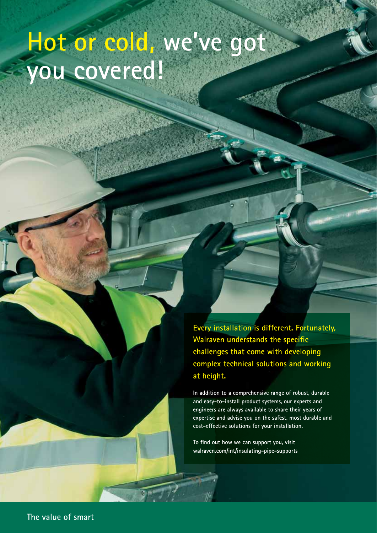# **Hot or cold, we've got you covered!**

**Every installation is different. Fortunately, Walraven understands the specific challenges that come with developing complex technical solutions and working at height.**

**In addition to a comprehensive range of robust, durable and easy-to-install product systems, our experts and engineers are always available to share their years of expertise and advise you on the safest, most durable and cost-effective solutions for your installation.**

To find out how we can support you, visit **walraven.com/int/insulating-pipe-supports**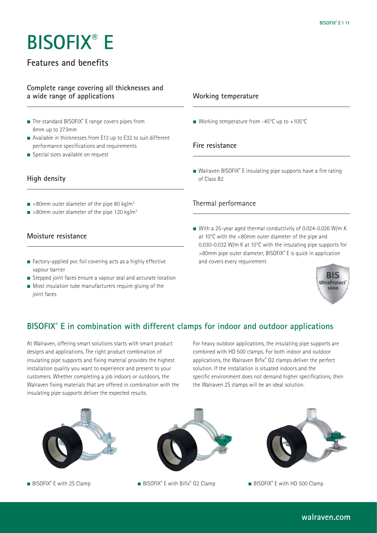### **Features and benefits**

#### **Complete range covering all thicknesses and a wide range of applications**

- The standard BISOFIX® E range covers pipes from 8mm up to 273mm
- Available in thicknesses from E13 up to E32 to suit different performance specifications and requirements
- Special sizes available on request

#### **High density**

- $\blacksquare$  <80mm outer diameter of the pipe 80 kg/m<sup>3</sup>
- $\blacksquare$  >80mm outer diameter of the pipe 120 kg/m<sup>3</sup>

#### **Moisture resistance**

- Factory-applied pvc foil covering acts as a highly effective vapour barrier
- Stepped joint faces ensure a vapour seal and accurate location
- Most insulation tube manufacturers require gluing of the joint faces

#### **Working temperature**

■ Working temperature from -45°C up to +105°C

#### **Fire resistance**

■ Walraven BISOFIX® E insulating pipe supports have a fire rating of Class B2

#### Thermal performance

■ With a 25-year aged thermal conductivity of 0.024-0.026 W/m K at 10°C with the <80mm outer diameter of the pipe and 0.030-0.032 W/m K at 10°C with the insulating pipe supports for >80mm pipe outer diameter, BISOFIX® E is quick in application and covers every requirement



### **BISOFIX® E in combination with different clamps for indoor and outdoor applications**

At Walraven, offering smart solutions starts with smart product designs and applications. The right product combination of insulating pipe supports and fixing material provides the highest installation quality you want to experience and present to your customers. Whether completing a job indoors or outdoors, the Walraven fixing materials that are offered in combination with the insulating pipe supports deliver the expected results.

For heavy outdoor applications, the insulating pipe supports are combined with HD 500 clamps. For both indoor and outdoor applications, the Walraven Bifix® G2 clamps deliver the perfect solution. If the installation is situated indoors and the specific environment does not demand higher specifications, then the Walraven 2S clamps will be an ideal solution.



 $\blacksquare$  BISOFIX® E with 2S Clamp





■ BISOFIX® E with 2S Clamp ● ■ BISOFIX® E with Bifix® G2 Clamp ● ■ BISOFIX® E with HD 500 Clamp